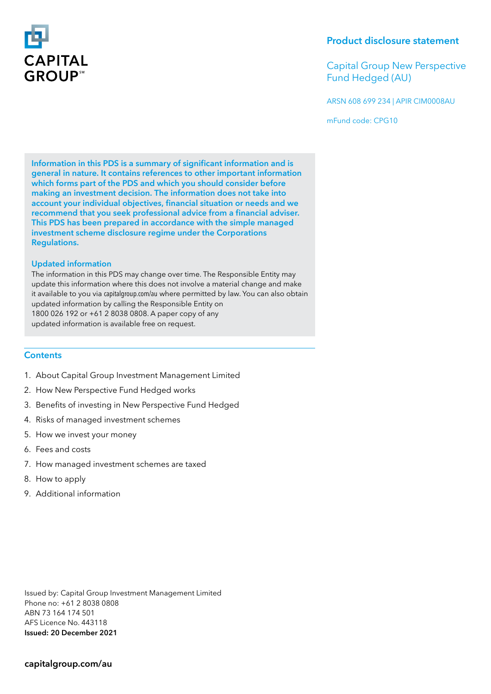

Capital Group New Perspective Fund Hedged (AU)

ARSN 608 699 234 | APIR CIM0008AU

mFund code: CPG10

Information in this PDS is a summary of significant information and is general in nature. It contains references to other important information which forms part of the PDS and which you should consider before making an investment decision. The information does not take into account your individual objectives, financial situation or needs and we recommend that you seek professional advice from a financial adviser. This PDS has been prepared in accordance with the simple managed investment scheme disclosure regime under the Corporations Regulations.

# Updated information

The information in this PDS may change over time. The Responsible Entity may update this information where this does not involve a material change and make it available to you via capitalgroup.com/au where permitted by law. You can also obtain updated information by calling the Responsible Entity on 1800 026 192 or +61 2 8038 0808. A paper copy of any updated information is available free on request.

# **Contents**

- 1. About Capital Group Investment Management Limited
- 2. How New Perspective Fund Hedged works
- 3. Benefits of investing in New Perspective Fund Hedged
- 4. Risks of managed investment schemes
- 5. How we invest your money
- 6. Fees and costs
- 7. How managed investment schemes are taxed
- 8. How to apply
- 9. Additional information

Issued by: Capital Group Investment Management Limited Phone no: +61 2 8038 0808 ABN 73 164 174 501 AFS Licence No. 443118 Issued: 20 December 2021

# capitalgroup.com/au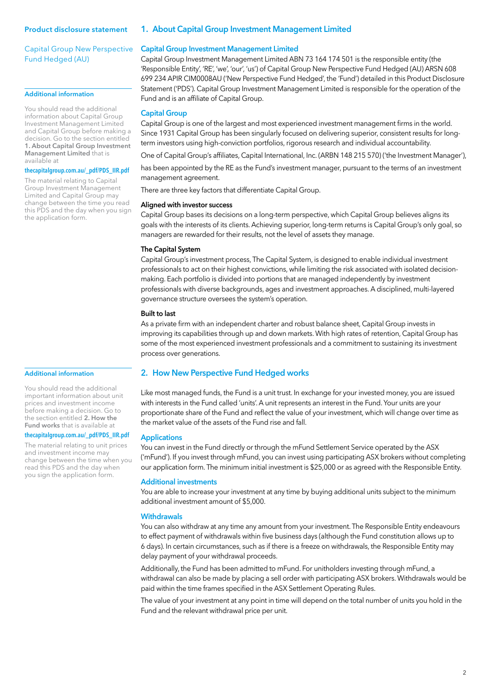Capital Group New Perspective Fund Hedged (AU)

## Additional information

You should read the additional information about Capital Group Investment Management Limited and Capital Group before making a decision. Go to the section entitled 1. About Capital Group Investment Management Limited that is available at

#### **thecapitalgroup.com.au/\_pdf/PDS\_IIR.pdf**

The material relating to Capital Group Investment Management Limited and Capital Group may change between the time you read this PDS and the day when you sign the application form.

#### Additional information

You should read the additional important information about unit prices and investment income before making a decision. Go to the section entitled 2. How the Fund works that is available at

#### **thecapitalgroup.com.au/\_pdf/PDS\_IIR.pdf**

The material relating to unit prices and investment income may change between the time when you read this PDS and the day when you sign the application form.

## 1. About Capital Group Investment Management Limited

## Capital Group Investment Management Limited

Capital Group Investment Management Limited ABN 73 164 174 501 is the responsible entity (the 'Responsible Entity', 'RE', 'we', 'our', 'us') of Capital Group New Perspective Fund Hedged (AU) ARSN 608 699 234 APIR CIM0008AU ('New Perspective Fund Hedged', the 'Fund') detailed in this Product Disclosure Statement ('PDS'). Capital Group Investment Management Limited is responsible for the operation of the Fund and is an affiliate of Capital Group.

## Capital Group

Capital Group is one of the largest and most experienced investment management firms in the world. Since 1931 Capital Group has been singularly focused on delivering superior, consistent results for longterm investors using high-conviction portfolios, rigorous research and individual accountability.

One of Capital Group's affiliates, Capital International, Inc. (ARBN 148 215 570) ('the Investment Manager'),

has been appointed by the RE as the Fund's investment manager, pursuant to the terms of an investment management agreement.

There are three key factors that differentiate Capital Group.

#### Aligned with investor success

Capital Group bases its decisions on a long-term perspective, which Capital Group believes aligns its goals with the interests of its clients. Achieving superior, long-term returns is Capital Group's only goal, so managers are rewarded for their results, not the level of assets they manage.

## The Capital System

Capital Group's investment process, The Capital System, is designed to enable individual investment professionals to act on their highest convictions, while limiting the risk associated with isolated decisionmaking. Each portfolio is divided into portions that are managed independently by investment professionals with diverse backgrounds, ages and investment approaches. A disciplined, multi-layered governance structure oversees the system's operation.

#### Built to last

As a private firm with an independent charter and robust balance sheet, Capital Group invests in improving its capabilities through up and down markets. With high rates of retention, Capital Group has some of the most experienced investment professionals and a commitment to sustaining its investment process over generations.

# 2. How New Perspective Fund Hedged works

Like most managed funds, the Fund is a unit trust. In exchange for your invested money, you are issued with interests in the Fund called 'units'. A unit represents an interest in the Fund. Your units are your proportionate share of the Fund and reflect the value of your investment, which will change over time as the market value of the assets of the Fund rise and fall.

#### Applications

You can invest in the Fund directly or through the mFund Settlement Service operated by the ASX ('mFund'). If you invest through mFund, you can invest using participating ASX brokers without completing our application form. The minimum initial investment is \$25,000 or as agreed with the Responsible Entity.

# Additional investments

You are able to increase your investment at any time by buying additional units subject to the minimum additional investment amount of \$5,000.

#### **Withdrawals**

You can also withdraw at any time any amount from your investment. The Responsible Entity endeavours to effect payment of withdrawals within five business days (although the Fund constitution allows up to 6 days). In certain circumstances, such as if there is a freeze on withdrawals, the Responsible Entity may delay payment of your withdrawal proceeds.

Additionally, the Fund has been admitted to mFund. For unitholders investing through mFund, a withdrawal can also be made by placing a sell order with participating ASX brokers. Withdrawals would be paid within the time frames specified in the ASX Settlement Operating Rules.

The value of your investment at any point in time will depend on the total number of units you hold in the Fund and the relevant withdrawal price per unit.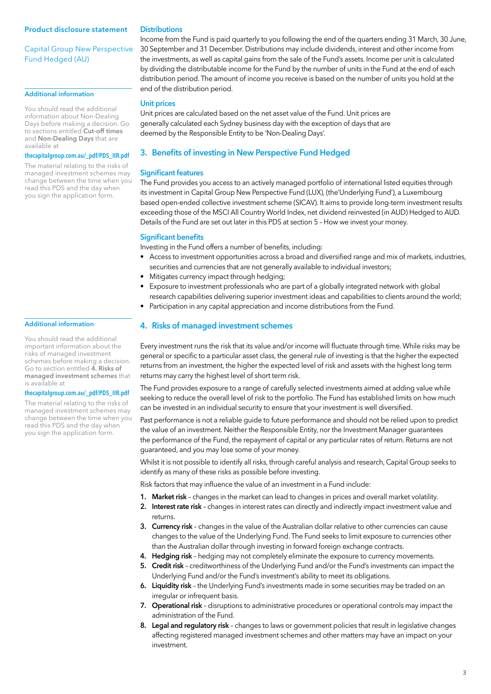# Capital Group New Perspective Fund Hedged (AU)

## Additional information

You should read the additional information about Non-Dealing Days before making a decision. Go to sections entitled Cut-off times and Non-Dealing Days that are available at

## **thecapitalgroup.com.au/\_pdf/PDS\_IIR.pdf**

The material relating to the risks of managed investment schemes may change between the time when you read this PDS and the day when you sign the application form.

#### Additional information

You should read the additional important information about the risks of managed investment schemes before making a decision. Go to section entitled 4. Risks of managed investment schemes that is available at

#### **thecapitalgroup.com.au/\_pdf/PDS\_IIR.pdf**

The material relating to the risks of managed investment schemes may change between the time when you read this PDS and the day when you sign the application form.

### **Distributions**

Income from the Fund is paid quarterly to you following the end of the quarters ending 31 March, 30 June, 30 September and 31 December. Distributions may include dividends, interest and other income from the investments, as well as capital gains from the sale of the Fund's assets. Income per unit is calculated by dividing the distributable income for the Fund by the number of units in the Fund at the end of each distribution period. The amount of income you receive is based on the number of units you hold at the end of the distribution period.

#### Unit prices

Unit prices are calculated based on the net asset value of the Fund. Unit prices are generally calculated each Sydney business day with the exception of days that are deemed by the Responsible Entity to be 'Non-Dealing Days'.

# 3. Benefits of investing in New Perspective Fund Hedged

#### Significant features

The Fund provides you access to an actively managed portfolio of international listed equities through its investment in Capital Group New Perspective Fund (LUX), (the'Underlying Fund'), a Luxembourg based open-ended collective investment scheme (SICAV). It aims to provide long-term investment results exceeding those of the MSCI All Country World Index, net dividend reinvested (in AUD) Hedged to AUD. Details of the Fund are set out later in this PDS at section 5 – How we invest your money.

#### Significant benefits

Investing in the Fund offers a number of benefits, including:

- Access to investment opportunities across a broad and diversified range and mix of markets, industries, securities and currencies that are not generally available to individual investors;
- Mitigates currency impact through hedging;
- Exposure to investment professionals who are part of a globally integrated network with global research capabilities delivering superior investment ideas and capabilities to clients around the world;
- Participation in any capital appreciation and income distributions from the Fund.

# 4. Risks of managed investment schemes

Every investment runs the risk that its value and/or income will fluctuate through time. While risks may be general or specific to a particular asset class, the general rule of investing is that the higher the expected returns from an investment, the higher the expected level of risk and assets with the highest long term returns may carry the highest level of short term risk.

The Fund provides exposure to a range of carefully selected investments aimed at adding value while seeking to reduce the overall level of risk to the portfolio. The Fund has established limits on how much can be invested in an individual security to ensure that your investment is well diversified.

Past performance is not a reliable guide to future performance and should not be relied upon to predict the value of an investment. Neither the Responsible Entity, nor the Investment Manager guarantees the performance of the Fund, the repayment of capital or any particular rates of return. Returns are not guaranteed, and you may lose some of your money.

Whilst it is not possible to identify all risks, through careful analysis and research, Capital Group seeks to identify as many of these risks as possible before investing.

Risk factors that may influence the value of an investment in a Fund include:

- 1. Market risk changes in the market can lead to changes in prices and overall market volatility.
- 2. Interest rate risk changes in interest rates can directly and indirectly impact investment value and returns.
- 3. Currency risk changes in the value of the Australian dollar relative to other currencies can cause changes to the value of the Underlying Fund. The Fund seeks to limit exposure to currencies other than the Australian dollar through investing in forward foreign exchange contracts.
- 4. Hedging risk hedging may not completely eliminate the exposure to currency movements.
- 5. Credit risk creditworthiness of the Underlying Fund and/or the Fund's investments can impact the Underlying Fund and/or the Fund's investment's ability to meet its obligations.
- 6. Liquidity risk the Underlying Fund's investments made in some securities may be traded on an irregular or infrequent basis.
- 7. Operational risk disruptions to administrative procedures or operational controls may impact the administration of the Fund.
- 8. Legal and regulatory risk changes to laws or government policies that result in legislative changes affecting registered managed investment schemes and other matters may have an impact on your investment.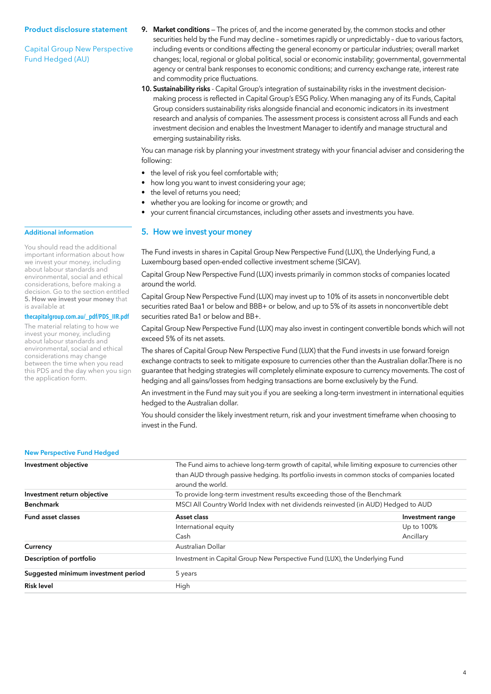Capital Group New Perspective Fund Hedged (AU)

- 9. Market conditions The prices of, and the income generated by, the common stocks and other securities held by the Fund may decline – sometimes rapidly or unpredictably – due to various factors, including events or conditions affecting the general economy or particular industries; overall market changes; local, regional or global political, social or economic instability; governmental, governmental agency or central bank responses to economic conditions; and currency exchange rate, interest rate and commodity price fluctuations.
- 10. Sustainability risks Capital Group's integration of sustainability risks in the investment decisionmaking process is reflected in Capital Group's ESG Policy. When managing any of its Funds, Capital Group considers sustainability risks alongside financial and economic indicators in its investment research and analysis of companies. The assessment process is consistent across all Funds and each investment decision and enables the Investment Manager to identify and manage structural and emerging sustainability risks.

You can manage risk by planning your investment strategy with your financial adviser and considering the following:

- the level of risk you feel comfortable with;
- how long you want to invest considering your age;
- the level of returns you need;
- whether you are looking for income or growth; and
- your current financial circumstances, including other assets and investments you have.

# 5. How we invest your money

The Fund invests in shares in Capital Group New Perspective Fund (LUX), the Underlying Fund, a Luxembourg based open-ended collective investment scheme (SICAV).

Capital Group New Perspective Fund (LUX) invests primarily in common stocks of companies located around the world.

Capital Group New Perspective Fund (LUX) may invest up to 10% of its assets in nonconvertible debt securities rated Baa1 or below and BBB+ or below, and up to 5% of its assets in nonconvertible debt securities rated Ba1 or below and BB+.

Capital Group New Perspective Fund (LUX) may also invest in contingent convertible bonds which will not exceed 5% of its net assets.

The shares of Capital Group New Perspective Fund (LUX) that the Fund invests in use forward foreign exchange contracts to seek to mitigate exposure to currencies other than the Australian dollar.There is no guarantee that hedging strategies will completely eliminate exposure to currency movements. The cost of hedging and all gains/losses from hedging transactions are borne exclusively by the Fund.

An investment in the Fund may suit you if you are seeking a long-term investment in international equities hedged to the Australian dollar.

You should consider the likely investment return, risk and your investment timeframe when choosing to invest in the Fund.

## New Perspective Fund Hedged

| Investment objective                | The Fund aims to achieve long-term growth of capital, while limiting exposure to currencies other<br>than AUD through passive hedging. Its portfolio invests in common stocks of companies located<br>around the world. |                  |
|-------------------------------------|-------------------------------------------------------------------------------------------------------------------------------------------------------------------------------------------------------------------------|------------------|
| Investment return objective         | To provide long-term investment results exceeding those of the Benchmark                                                                                                                                                |                  |
| <b>Benchmark</b>                    | MSCI All Country World Index with net dividends reinvested (in AUD) Hedged to AUD                                                                                                                                       |                  |
| <b>Fund asset classes</b>           | Asset class                                                                                                                                                                                                             | Investment range |
|                                     | International equity                                                                                                                                                                                                    | Up to 100%       |
|                                     | Cash                                                                                                                                                                                                                    | Ancillary        |
| Currency                            | Australian Dollar                                                                                                                                                                                                       |                  |
| Description of portfolio            | Investment in Capital Group New Perspective Fund (LUX), the Underlying Fund                                                                                                                                             |                  |
| Suggested minimum investment period | 5 years                                                                                                                                                                                                                 |                  |
| <b>Risk level</b>                   | High                                                                                                                                                                                                                    |                  |
|                                     |                                                                                                                                                                                                                         |                  |

#### 4

# Additional information

You should read the additional important information about how we invest your money, including about labour standards and environmental, social and ethical considerations, before making a decision. Go to the section entitled 5. How we invest your money that is available at

# **thecapitalgroup.com.au/\_pdf/PDS\_IIR.pdf**

The material relating to how we invest your money, including about labour standards and environmental, social and ethical considerations may change between the time when you read this PDS and the day when you sign the application form.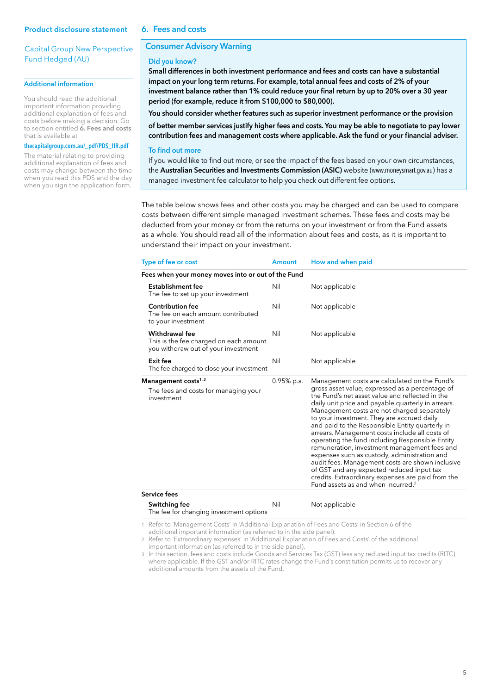## 6. Fees and costs

# Capital Group New Perspective Fund Hedged (AU)

## Additional information

You should read the additional important information providing additional explanation of fees and costs before making a decision. Go to section entitled 6. Fees and costs that is available at

## **thecapitalgroup.com.au/\_pdf/PDS\_IIR.pdf**

The material relating to providing additional explanation of fees and costs may change between the time when you read this PDS and the day when you sign the application form.

# Consumer Advisory Warning

#### Did you know?

Small differences in both investment performance and fees and costs can have a substantial impact on your long term returns. For example, total annual fees and costs of 2% of your investment balance rather than 1% could reduce your final return by up to 20% over a 30 year period (for example, reduce it from \$100,000 to \$80,000).

You should consider whether features such as superior investment performance or the provision

of better member services justify higher fees and costs. You may be able to negotiate to pay lower contribution fees and management costs where applicable. Ask the fund or your financial adviser.

## To find out more

If you would like to find out more, or see the impact of the fees based on your own circumstances, the Australian Securities and Investments Commission (ASIC) website (www.moneysmart.gov.au) has a managed investment fee calculator to help you check out different fee options.

The table below shows fees and other costs you may be charged and can be used to compare costs between different simple managed investment schemes. These fees and costs may be deducted from your money or from the returns on your investment or from the Fund assets as a whole. You should read all of the information about fees and costs, as it is important to understand their impact on your investment.

| Type of fee or cost                                                                                    | <b>Amount</b> | How and when paid                                                                                                                                                                                                                                                                                                                                                                                                                                                                                                                                                                                                                                                                                                                                                      |
|--------------------------------------------------------------------------------------------------------|---------------|------------------------------------------------------------------------------------------------------------------------------------------------------------------------------------------------------------------------------------------------------------------------------------------------------------------------------------------------------------------------------------------------------------------------------------------------------------------------------------------------------------------------------------------------------------------------------------------------------------------------------------------------------------------------------------------------------------------------------------------------------------------------|
| Fees when your money moves into or out of the Fund                                                     |               |                                                                                                                                                                                                                                                                                                                                                                                                                                                                                                                                                                                                                                                                                                                                                                        |
| Establishment fee<br>The fee to set up your investment                                                 | Nil           | Not applicable                                                                                                                                                                                                                                                                                                                                                                                                                                                                                                                                                                                                                                                                                                                                                         |
| <b>Contribution fee</b><br>The fee on each amount contributed<br>to your investment                    | Nil           | Not applicable                                                                                                                                                                                                                                                                                                                                                                                                                                                                                                                                                                                                                                                                                                                                                         |
| <b>Withdrawal fee</b><br>This is the fee charged on each amount<br>you withdraw out of your investment | Nil           | Not applicable                                                                                                                                                                                                                                                                                                                                                                                                                                                                                                                                                                                                                                                                                                                                                         |
| Exit fee<br>The fee charged to close your investment                                                   | Nil           | Not applicable                                                                                                                                                                                                                                                                                                                                                                                                                                                                                                                                                                                                                                                                                                                                                         |
| Management costs $1,3$<br>The fees and costs for managing your<br>investment                           | $0.95%$ p.a.  | Management costs are calculated on the Fund's<br>gross asset value, expressed as a percentage of<br>the Fund's net asset value and reflected in the<br>daily unit price and payable quarterly in arrears.<br>Management costs are not charged separately<br>to your investment. They are accrued daily<br>and paid to the Responsible Entity quarterly in<br>arrears. Management costs include all costs of<br>operating the fund including Responsible Entity<br>remuneration, investment management fees and<br>expenses such as custody, administration and<br>audit fees. Management costs are shown inclusive<br>of GST and any expected reduced input tax<br>credits. Extraordinary expenses are paid from the<br>Fund assets as and when incurred. <sup>2</sup> |
| Service fees                                                                                           |               |                                                                                                                                                                                                                                                                                                                                                                                                                                                                                                                                                                                                                                                                                                                                                                        |
| Switching fee<br>The fee for changing investment options                                               | Nil           | Not applicable                                                                                                                                                                                                                                                                                                                                                                                                                                                                                                                                                                                                                                                                                                                                                         |

1 Refer to 'Management Costs' in 'Additional Explanation of Fees and Costs' in Section 6 of the additional important information (as referred to in the side panel).

2 Refer to 'Extraordinary expenses' in 'Additional Explanation of Fees and Costs' of the additional important information (as referred to in the side panel).

3 In this section, fees and costs include Goods and Services Tax (GST) less any reduced input tax credits (RITC) where applicable. If the GST and/or RITC rates change the Fund's constitution permits us to recover any additional amounts from the assets of the Fund.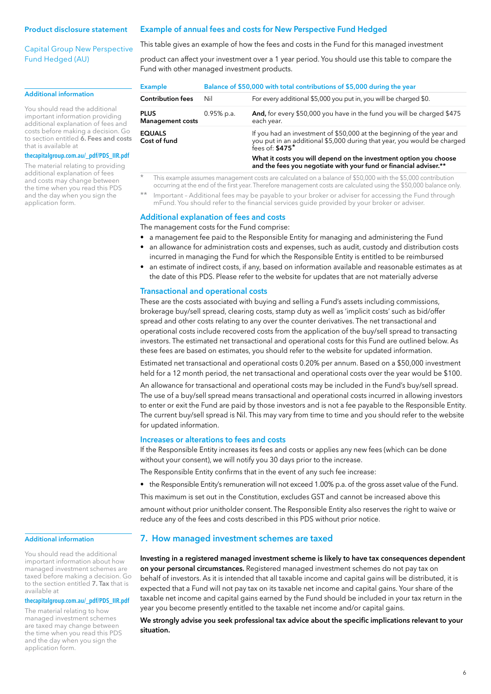Capital Group New Perspective Fund Hedged (AU)

#### Additional information

You should read the additional important information providing additional explanation of fees and costs before making a decision. Go to section entitled  $\breve{\mathbf{b}}$ . Fees and costs that is available at

#### **thecapitalgroup.com.au/\_pdf/PDS\_IIR.pdf**

The material relating to providing additional explanation of fees and costs may change between the time when you read this PDS and the day when you sign the application form.

#### Example of annual fees and costs for New Perspective Fund Hedged

This table gives an example of how the fees and costs in the Fund for this managed investment

product can affect your investment over a 1 year period. You should use this table to compare the Fund with other managed investment products.

| Balance of \$50,000 with total contributions of \$5,000 during the year |                                                                                                                                                                                  |
|-------------------------------------------------------------------------|----------------------------------------------------------------------------------------------------------------------------------------------------------------------------------|
| Nil                                                                     | For every additional \$5,000 you put in, you will be charged \$0.                                                                                                                |
| $0.95%$ p.a.                                                            | And, for every \$50,000 you have in the fund you will be charged \$475<br>each year.                                                                                             |
|                                                                         | If you had an investment of \$50,000 at the beginning of the year and<br>you put in an additional \$5,000 during that year, you would be charged<br>fees of: $$475$ <sup>*</sup> |
|                                                                         | What it costs you will depend on the investment option you choose<br>and the fees you negotiate with your fund or financial adviser.**                                           |
|                                                                         |                                                                                                                                                                                  |

\* This example assumes management costs are calculated on a balance of \$50,000 with the \$5,000 contribution occurring at the end of the first year. Therefore management costs are calculated using the \$50,000 balance only.

\*\* Important – Additional fees may be payable to your broker or adviser for accessing the Fund through mFund. You should refer to the financial services guide provided by your broker or adviser.

#### Additional explanation of fees and costs

The management costs for the Fund comprise:

- a management fee paid to the Responsible Entity for managing and administering the Fund
- an allowance for administration costs and expenses, such as audit, custody and distribution costs incurred in managing the Fund for which the Responsible Entity is entitled to be reimbursed
- an estimate of indirect costs, if any, based on information available and reasonable estimates as at the date of this PDS. Please refer to the website for updates that are not materially adverse

#### Transactional and operational costs

These are the costs associated with buying and selling a Fund's assets including commissions, brokerage buy/sell spread, clearing costs, stamp duty as well as 'implicit costs' such as bid/offer spread and other costs relating to any over the counter derivatives. The net transactional and operational costs include recovered costs from the application of the buy/sell spread to transacting investors. The estimated net transactional and operational costs for this Fund are outlined below. As these fees are based on estimates, you should refer to the website for updated information.

Estimated net transactional and operational costs 0.20% per annum. Based on a \$50,000 investment held for a 12 month period, the net transactional and operational costs over the year would be \$100.

An allowance for transactional and operational costs may be included in the Fund's buy/sell spread. The use of a buy/sell spread means transactional and operational costs incurred in allowing investors to enter or exit the Fund are paid by those investors and is not a fee payable to the Responsible Entity. The current buy/sell spread is Nil. This may vary from time to time and you should refer to the website for updated information.

# Increases or alterations to fees and costs

If the Responsible Entity increases its fees and costs or applies any new fees (which can be done without your consent), we will notify you 30 days prior to the increase.

The Responsible Entity confirms that in the event of any such fee increase:

- the Responsible Entity's remuneration will not exceed 1.00% p.a. of the gross asset value of the Fund.
- This maximum is set out in the Constitution, excludes GST and cannot be increased above this

amount without prior unitholder consent. The Responsible Entity also reserves the right to waive or reduce any of the fees and costs described in this PDS without prior notice.

## Additional information

You should read the additional important information about how managed investment schemes are taxed before making a decision. Go to the section entitled 7. Tax that is available at

#### **thecapitalgroup.com.au/\_pdf/PDS\_IIR.pdf**

The material relating to how managed investment schemes are taxed may change between the time when you read this PDS and the day when you sign the application form.

# 7. How managed investment schemes are taxed

Investing in a registered managed investment scheme is likely to have tax consequences dependent on your personal circumstances. Registered managed investment schemes do not pay tax on behalf of investors. As it is intended that all taxable income and capital gains will be distributed, it is expected that a Fund will not pay tax on its taxable net income and capital gains. Your share of the taxable net income and capital gains earned by the Fund should be included in your tax return in the year you become presently entitled to the taxable net income and/or capital gains.

We strongly advise you seek professional tax advice about the specific implications relevant to your situation.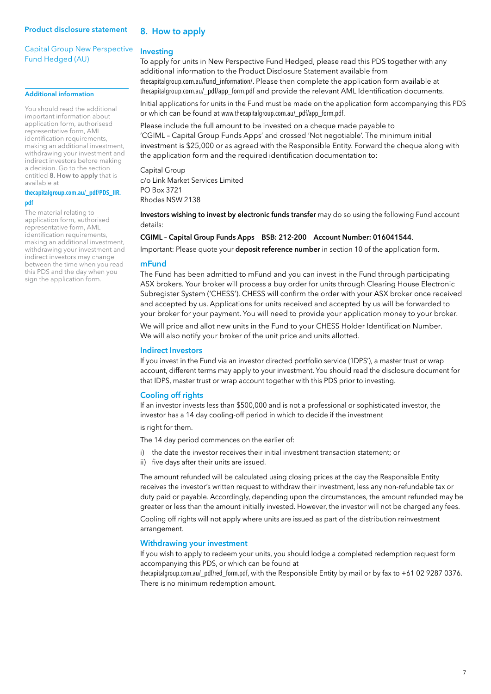# Capital Group New Perspective Fund Hedged (AU)

#### Additional information

You should read the additional important information about application form, authorisesd representative form, AML identification requirements, making an additional investment, withdrawing your investment and indirect investors before making a decision. Go to the section entitled 8. How to apply that is available at

## **thecapitalgroup.com.au/\_pdf/PDS\_IIR. pdf**

The material relating to application form, authorised representative form, AML identification requirements, making an additional investment, withdrawing your investment and indirect investors may change between the time when you read this PDS and the day when you sign the application form.

# 8. How to apply

#### Investing

To apply for units in New Perspective Fund Hedged, please read this PDS together with any additional information to the Product Disclosure Statement available from thecapitalgroup.com.au/fund\_information/. Please then complete the application form available at thecapitalgroup.com.au/\_pdf/app\_form.pdf and provide the relevant AML Identification documents.

Initial applications for units in the Fund must be made on the application form accompanying this PDS or which can be found at www.thecapitalgroup.com.au/\_pdf/app\_form.pdf.

Please include the full amount to be invested on a cheque made payable to 'CGIML – Capital Group Funds Apps' and crossed 'Not negotiable'. The minimum initial investment is \$25,000 or as agreed with the Responsible Entity. Forward the cheque along with the application form and the required identification documentation to:

Capital Group c/o Link Market Services Limited PO Box 3721 Rhodes NSW 2138

Investors wishing to invest by electronic funds transfer may do so using the following Fund account details:

#### CGIML – Capital Group Funds Apps BSB: 212-200 Account Number: 016041544.

Important: Please quote your deposit reference number in section 10 of the application form.

### mFund

The Fund has been admitted to mFund and you can invest in the Fund through participating ASX brokers. Your broker will process a buy order for units through Clearing House Electronic Subregister System ('CHESS'). CHESS will confirm the order with your ASX broker once received and accepted by us. Applications for units received and accepted by us will be forwarded to your broker for your payment. You will need to provide your application money to your broker.

We will price and allot new units in the Fund to your CHESS Holder Identification Number. We will also notify your broker of the unit price and units allotted.

#### Indirect Investors

If you invest in the Fund via an investor directed portfolio service ('IDPS'), a master trust or wrap account, different terms may apply to your investment. You should read the disclosure document for that IDPS, master trust or wrap account together with this PDS prior to investing.

## Cooling off rights

If an investor invests less than \$500,000 and is not a professional or sophisticated investor, the investor has a 14 day cooling-off period in which to decide if the investment

is right for them.

The 14 day period commences on the earlier of:

- i) the date the investor receives their initial investment transaction statement; or
- ii) five days after their units are issued.

The amount refunded will be calculated using closing prices at the day the Responsible Entity receives the investor's written request to withdraw their investment, less any non-refundable tax or duty paid or payable. Accordingly, depending upon the circumstances, the amount refunded may be greater or less than the amount initially invested. However, the investor will not be charged any fees.

Cooling off rights will not apply where units are issued as part of the distribution reinvestment arrangement.

#### Withdrawing your investment

If you wish to apply to redeem your units, you should lodge a completed redemption request form accompanying this PDS, or which can be found at

thecapitalgroup.com.au/\_pdf/red\_form.pdf, with the Responsible Entity by mail or by fax to +61 02 9287 0376. There is no minimum redemption amount.